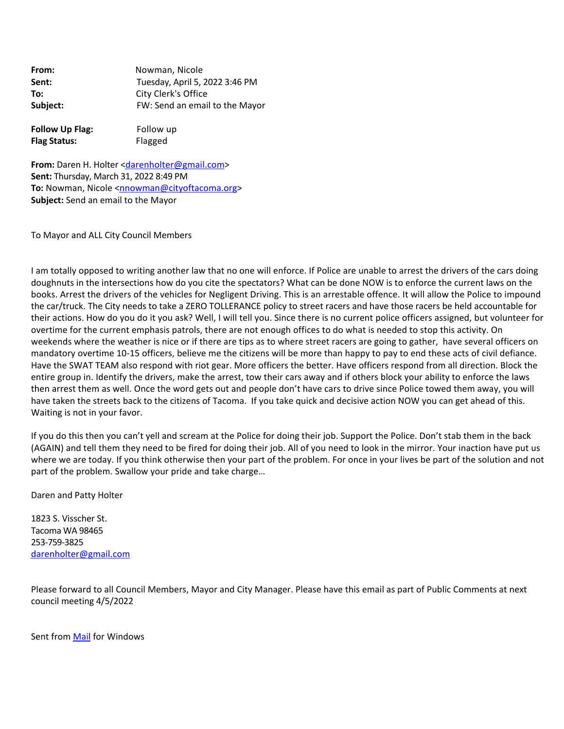| From:    | Nowman, Nicole                 |  |
|----------|--------------------------------|--|
| Sent:    | Tuesday, April 5, 2022 3:46 PM |  |
| To:      | City Clerk's Office            |  |
| Subject: | FW: Send an email to the Mayor |  |
|          |                                |  |

**Follow Up Flag:** Follow up **Flag Status:** Flagged

**From:** Daren H. Holter [<darenholter@gmail.com>](mailto:darenholter@gmail.com) **Sent:** Thursday, March 31, 2022 8:49 PM **To:** Nowman, Nicole <[nnowman@cityoftacoma.org](mailto:nnowman@cityoftacoma.org)> **Subject:** Send an email to the Mayor

To Mayor and ALL City Council Members

I am totally opposed to writing another law that no one will enforce. If Police are unable to arrest the drivers of the cars doing doughnuts in the intersections how do you cite the spectators? What can be done NOW is to enforce the current laws on the books. Arrest the drivers of the vehicles for Negligent Driving. This is an arrestable offence. It will allow the Police to impound the car/truck. The City needs to take a ZERO TOLLERANCE policy to street racers and have those racers be held accountable for their actions. How do you do it you ask? Well, I will tell you. Since there is no current police officers assigned, but volunteer for overtime for the current emphasis patrols, there are not enough offices to do what is needed to stop this activity. On weekends where the weather is nice or if there are tips as to where street racers are going to gather, have several officers on mandatory overtime 10‐15 officers, believe me the citizens will be more than happy to pay to end these acts of civil defiance. Have the SWAT TEAM also respond with riot gear. More officers the better. Have officers respond from all direction. Block the entire group in. Identify the drivers, make the arrest, tow their cars away and if others block your ability to enforce the laws then arrest them as well. Once the word gets out and people don't have cars to drive since Police towed them away, you will have taken the streets back to the citizens of Tacoma. If you take quick and decisive action NOW you can get ahead of this. Waiting is not in your favor.

If you do this then you can't yell and scream at the Police for doing their job. Support the Police. Don't stab them in the back (AGAIN) and tell them they need to be fired for doing their job. All of you need to look in the mirror. Your inaction have put us where we are today. If you think otherwise then your part of the problem. For once in your lives be part of the solution and not part of the problem. Swallow your pride and take charge…

Daren and Patty Holter

1823 S. Visscher St. Tacoma WA 98465 253‐759‐3825 [darenholter@gmail.com](mailto:darenholter@gmail.com)

Please forward to all Council Members, Mayor and City Manager. Please have this email as part of Public Comments at next council meeting 4/5/2022

Sent from [Mail](https://urldefense.com/v3/__https:/go.microsoft.com/fwlink/?LinkId=550986__;!!CRCbkf1f!FyNQCztvGRN4n2O4tiMW_B1Jaxa21oXCh_uAIa7eU7SeaubG4ON8RW-oDTV_uAvm6D3EV1eu$) for Windows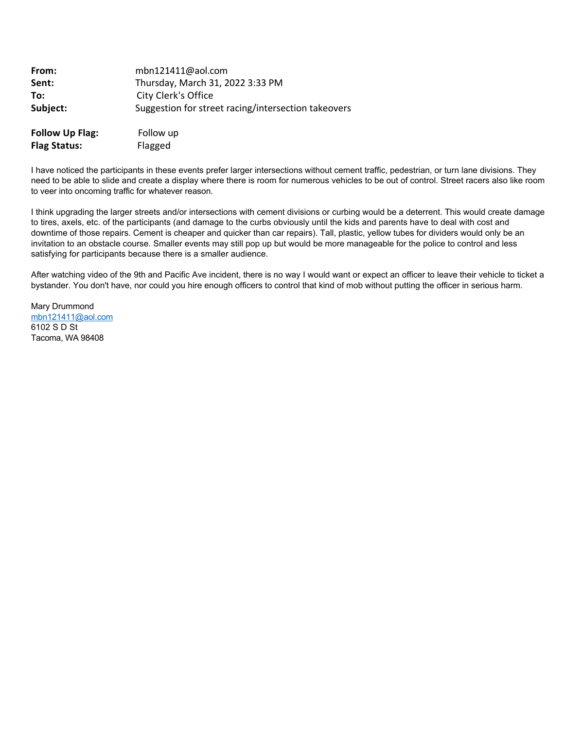| From:                  | mbn121411@aol.com                                   |  |
|------------------------|-----------------------------------------------------|--|
| Sent:                  | Thursday, March 31, 2022 3:33 PM                    |  |
| To:                    | City Clerk's Office                                 |  |
| Subject:               | Suggestion for street racing/intersection takeovers |  |
| <b>Follow Up Flag:</b> | Follow up                                           |  |
| <b>Flag Status:</b>    | Flagged                                             |  |

I have noticed the participants in these events prefer larger intersections without cement traffic, pedestrian, or turn lane divisions. They need to be able to slide and create a display where there is room for numerous vehicles to be out of control. Street racers also like room to veer into oncoming traffic for whatever reason.

I think upgrading the larger streets and/or intersections with cement divisions or curbing would be a deterrent. This would create damage to tires, axels, etc. of the participants (and damage to the curbs obviously until the kids and parents have to deal with cost and downtime of those repairs. Cement is cheaper and quicker than car repairs). Tall, plastic, yellow tubes for dividers would only be an invitation to an obstacle course. Smaller events may still pop up but would be more manageable for the police to control and less satisfying for participants because there is a smaller audience.

After watching video of the 9th and Pacific Ave incident, there is no way I would want or expect an officer to leave their vehicle to ticket a bystander. You don't have, nor could you hire enough officers to control that kind of mob without putting the officer in serious harm.

Mary Drummond [mbn121411@aol.com](mailto:mbn121411@aol.com) 6102 S D St Tacoma, WA 98408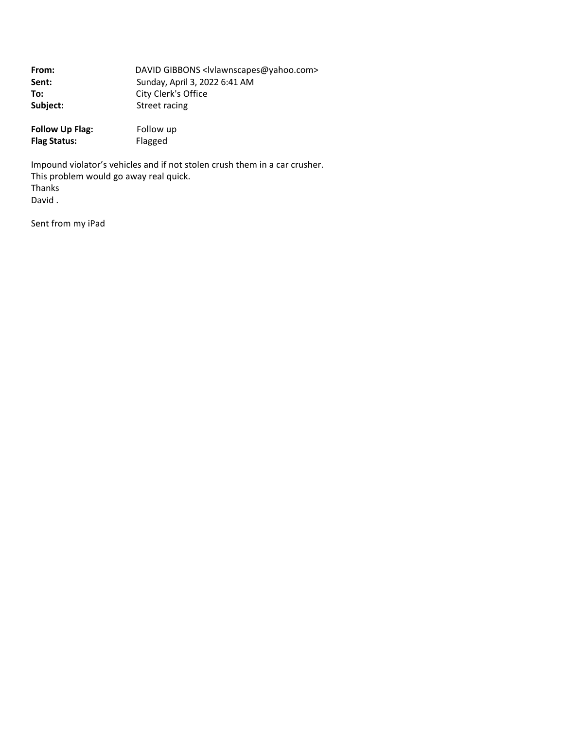| From:    | DAVID GIBBONS <lvlawnscapes@yahoo.com></lvlawnscapes@yahoo.com> |  |
|----------|-----------------------------------------------------------------|--|
| Sent:    | Sunday, April 3, 2022 6:41 AM                                   |  |
| To:      | City Clerk's Office                                             |  |
| Subject: | Street racing                                                   |  |
|          |                                                                 |  |

**Follow Up Flag:** Follow up<br> **Flag Status:** Flagged **Flag Status:** 

Impound violator's vehicles and if not stolen crush them in a car crusher. This problem would go away real quick. Thanks David .

Sent from my iPad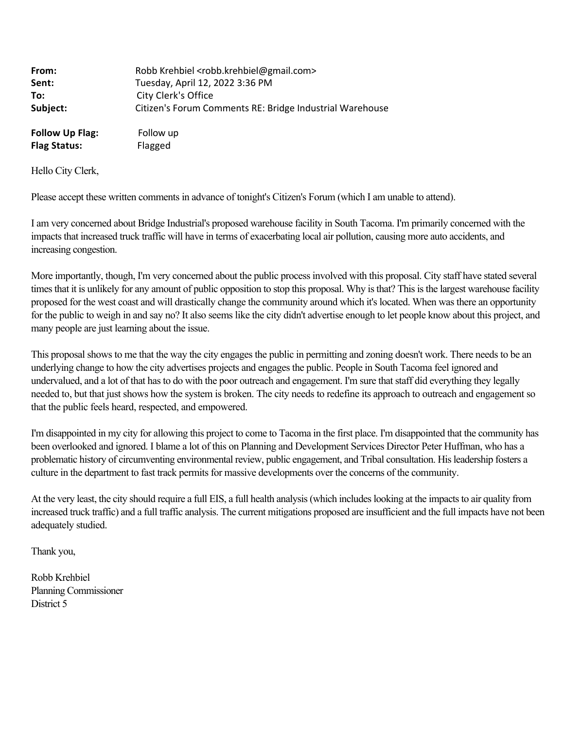| From:                  | Robb Krehbiel <robb.krehbiel@gmail.com></robb.krehbiel@gmail.com> |
|------------------------|-------------------------------------------------------------------|
| Sent:                  | Tuesday, April 12, 2022 3:36 PM                                   |
| To:                    | City Clerk's Office                                               |
| Subject:               | Citizen's Forum Comments RE: Bridge Industrial Warehouse          |
| <b>Follow Up Flag:</b> | Follow up                                                         |
| <b>Flag Status:</b>    | Flagged                                                           |

Hello City Clerk,

Please accept these written comments in advance of tonight's Citizen's Forum (which I am unable to attend).

I am very concerned about Bridge Industrial's proposed warehouse facility in South Tacoma. I'm primarily concerned with the impacts that increased truck traffic will have in terms of exacerbating local air pollution, causing more auto accidents, and increasing congestion.

More importantly, though, I'm very concerned about the public process involved with this proposal. City staff have stated several times that it is unlikely for any amount of public opposition to stop this proposal. Why is that? This is the largest warehouse facility proposed for the west coast and will drastically change the community around which it's located. When was there an opportunity for the public to weigh in and say no? It also seems like the city didn't advertise enough to let people know about this project, and many people are just learning about the issue.

This proposal shows to me that the way the city engages the public in permitting and zoning doesn't work. There needs to be an underlying change to how the city advertises projects and engages the public. People in South Tacoma feel ignored and undervalued, and a lot of that has to do with the poor outreach and engagement. I'm sure that staff did everything they legally needed to, but that just shows how the system is broken. The city needs to redefine its approach to outreach and engagement so that the public feels heard, respected, and empowered.

I'm disappointed in my city for allowing this project to come to Tacoma in the first place. I'm disappointed that the community has been overlooked and ignored. I blame a lot of this on Planning and Development Services Director Peter Huffman, who has a problematic history of circumventing environmental review, public engagement, and Tribal consultation. His leadership fosters a culture in the department to fast track permits for massive developments over the concerns of the community.

At the very least, the city should require a full EIS, a full health analysis (which includes looking at the impacts to air quality from increased truck traffic) and a full traffic analysis. The current mitigations proposed are insufficient and the full impacts have not been adequately studied.

Thank you,

Robb Krehbiel Planning Commissioner District 5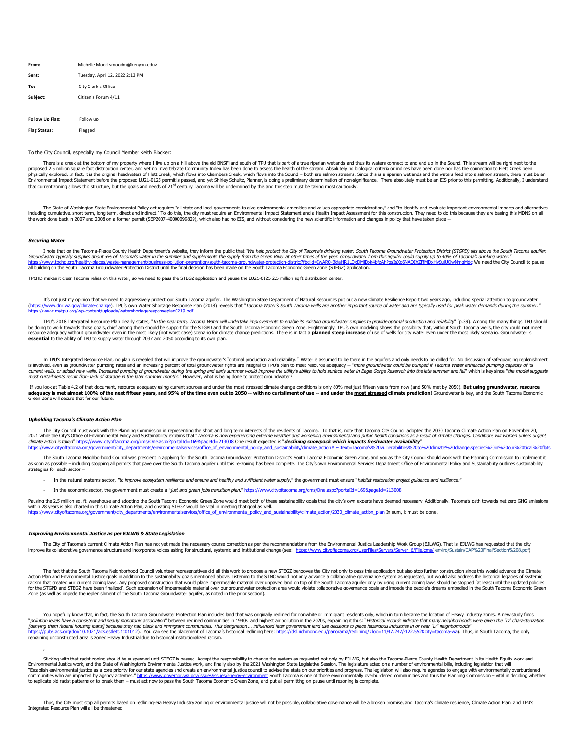| Michelle Mood <moodm@kenyon.edu></moodm@kenyon.edu> |  |
|-----------------------------------------------------|--|
| Tuesday, April 12, 2022 2:13 PM                     |  |
| City Clerk's Office                                 |  |
| Citizen's Forum 4/11                                |  |
|                                                     |  |

**Follow Up Flag:** Follow up **Flag Status:** Flagged

#### To the City Council, especially my Council Member Keith Blocker:

There is a creek at the bottom of my property where I live up on a hill above the old BNSF land south of TPU that is part of a true riparian wetlands and thus its waters connect to and end up in the Sound. This stream will proposed 2.5 million square foot distribution center, and yet no Invertebrate Community Index has been done to assess the health of the stream. Absolutely no biological criteria or indices have been done nor has the connec that current zoning allows this structure, but the goals and needs of 21<sup>st</sup> century Tacoma will be undermined by this and this step must be taking most cautiously.

The State of Washington State Environmental Policy act requires "all state and local governments to give environmental amenities and values appropriate consideration," and "to identify and evaluate important environmental

### **Securing Water**

I note that on the Tacoma-Pierce County Health Department's website, they inform the public that "We help protect the City of Tacoma's drinking water. South Tacoma Groundwater Protection District (STGPD) sits above the Sou Groundwater typically supplies about 5% of Tacoma's water in the summer and supplements the supply from the Green River at other times of the year. Groundwater from this aquifer could supply up to 40% of Tacoma's drinking car: Groundwater nom and againer coald supply up to 10% or racoma's diffiling water.<br>-BkiaHR1LOxDMiDxk4bfzAbPgsTsXo6NAOThZFfMDxHvSuiUOwNmgMdc We need the City Council to nause all building on the South Tacoma Groundwater Protection District until the final decision has been made on the South Tacoma Economic Green Zone (STEGZ) application.

TPCHD makes it clear Tacoma relies on this water, so we need to pass the STEGZ application and pause the LU21-0125 2.5 million sq ft distribution center.

It's not just my opinion that we need to aggressively protect our South Tacoma aquifer. The Washington State Department of Natural Resources put out a new Climate Resilience Report two years ago, including special attentio

TPU's 2018 Integrated Resource Plan clearly states, "*In the near term, Tacoma Water will undertake improvements to enable its existing groundwater supplies to provide optimal production and reliability" (p.39). Among the* **essential** to the ability of TPU to supply water through 2037 and 2050 according to its own plan.

In TPU's Integrated Resource Plan, no plan is revealed that will improve the groundwater's "optimal production and reliability." Water is assumed to be there in the aquifers and only needs to be drilled for. No discussion is involved, even as groundwater pumping rates and an increasing percent of total groundwater rights are integral to TPU's plan to meet resource adequacy -- "more groundwater could be pumped if Tacoma Water enhanced pumpin

If you look at Table 4.2 of that document, resource adequacy using current sources and under the most stressed climate change conditions is only 80% met just fifteen years from now (and 50% met by 2050). **But using groundw adequacy is met almost 100% of the next fifteen years, and 95% of the time even out to 2050 -- with no curtailment of use -- and under the <u>most stressed</u> climate prediction! Groundwater is key, and the South Tacoma Econo** 

#### **Upholding Tacoma's Climate Action Plan**

,

The City Council must work with the Planning Commission in representing the short and long term interests of the residents of Tacoma. To that is, note that Tacoma City Council adopted the 2030 Tacoma Climate Action Plan on 2021 while the City's Office of Environmental Policy and Sustainability explains that "Tacoma is now experiencing extreme weather and worsening environmental and public health conditions as a result of climate changes. Con climate action is taken"<https://www.cityoftacoma.org/cms/One.aspx?portalId=169&pageId=213008>One result expected is "**declining snowpack which impacts freshwater availability**" https://www.cityoftacoma.org/government/city\_departments/environmentalservices/office\_of\_environmental\_policy\_and\_sustainability/climate\_action#:~:text=Tacoma's%20vulnerabilities%20to%20climate%20change,species%20un%20uur%

The South Tacoma Neighborhood Council was prescient in applying for the South Tacoma Groundwater Protection District's South Tacoma Economic Green Zone, and you as the City Council should work with the Planning Commission as soon as possible – including stopping all permits that pave over the South Tacoma aquifer until this re-zoning has been complete. The City's own Environmental Services Department Office of Environmental Policy and Susta

- In the natural systems sector, "to improve ecosystem resilience and ensure and healthy and sufficient water supply," the government must ensure "habitat restoration project guidance and resilience."
- In the economic sector, the government must create a "just and green jobs transition plan."<https://www.cityoftacoma.org/cms/One.aspx?portalId=169&pageId=213008>

Pausing the 2.5 million sq. ft. warehouse and adopting the South Tacoma Economic Green Zone would meet both of these sustainability goals that the city's own experts have deemed necessary. Additionally, Tacoma's path towar within 28 years is also charted in this Climate Action Plan, and creating STEGZ would be vital in meeting that goal as well.<br><u>https://www.cityoftacoma.org/government/city\_departments/environmentalservices/office\_of\_environ</u>

### **Improving Environmental Justice as per EJLWG & State Legislation**

The City of Tacoma's current Climate Action Plan has not yet made the necessary course correction as per the recommendations from the Environmental Justice Leadership Work Group (EJLWG). That is, EJLWG has requested that t improve its collaborative governance structure and incorporate voices asking for structural, systemic and institutional change (see: https://www.cityoftacoma.org/UserFiles/Servers/Server 6/Fil

The fact that the South Tacoma Neighborhood Council volunteer representatives did all this work to propose a new STEGZ behooves the City not only to pass this application but also stop further construction since this would Action Plan and Environmental Justice goals in addition to the sustainability goals mentioned above. Listening to the STNC would not only advance a collaborative governance system as requested, but would also address the h racism that created our current zoning laws. Any proposed construction that would place impermeable material over unpaved land on top of the South Tacoma aquifer only by using current zoning laws should be stopped (at leas Zone (as well as impede the replenishment of the South Tacoma Groundwater aquifer, as noted in the prior section).

You hopefully know that, in fact, the South Tacoma Groundwater Protection Plan includes land that was originally redlined for nonwhite or immigrant residents only, which in turn became the location of Heavy Industry zones. *[denying them federal housing loans] because they had Black and immigrant communities. This designation … influenced later government land use decisions to place hazardous industries in or near "D" neighborhoods"<br>https://* 

Sticking with that racist zoning should be suspended until STEGZ is passed. Accept the responsibility to change the system as requested not only by EJLWG, but also the Tacoma-Pierce County Health Department in its Health E Environmental Justice work, and the State of Washington's Environmental Justice work, and finally also by the 2021 Washington State Legislative Session. The legislature acted on a number of environmental bills, including l

Thus, the City must stop all permits based on redlining-era Heavy Industry zoning or environmental justice will not be possible, collaborative governance will be a broken promise, and Tacoma's climate resilience, Climate A Integrated Resource Plan will all be threatened.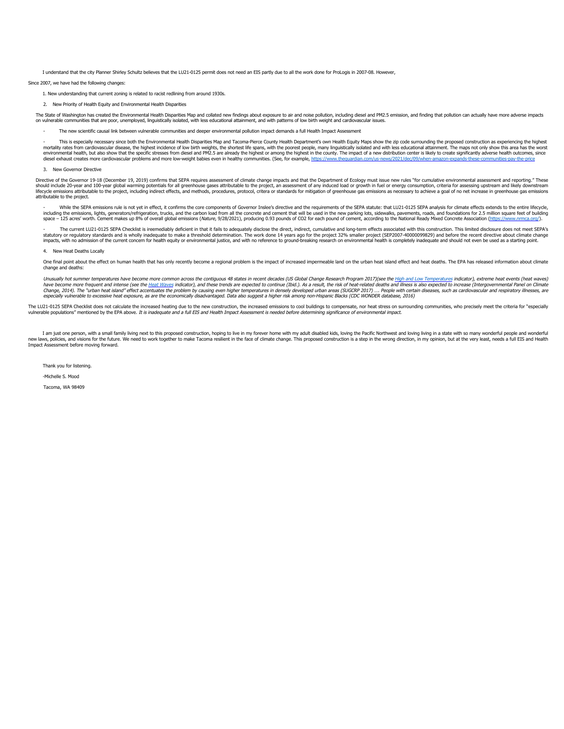I understand that the city Planner Shirley Schultz believes that the LU21-0125 permit does not need an EIS partly due to all the work done for ProLogis in 2007-08. However,

Since 2007, we have had the following changes:

- 1. New understanding that current zoning is related to racist redlining from around 1930s.
- 2. New Priority of Health Equity and Environmental Health Disparities

The State of Washington has created the Environmental Health Disparities Map and collated new findings about exposure to air and noise pollution, including diesel and PM2.5 emission, and finding that pollution can actually on vulnerable communities that are poor, unemployed, linguistically isolated, with less educational attainment, and with patterns of low birth weight and cardiovascular issues.

The new scientific causal link between vulnerable communities and deeper environmental pollution impact demands a full Health Impact Assessment

This is especially necessary since both the Environmental Health Disparities Map and Tacoma-Pierce County Health Department's own Health Equity Maps show the zip code surrounding the proposed construction as experiencing t mortality rates from cardiovascular disease, the highest incidence of low birth weights, the shortest life spans, with the poorest people, many linguistically isolated and with less educational attainment. The maps not onl diesel exhaust creates more cardiovascular problems and more low-weight babies even in healthy communities. (See, for example, https://www.theguardian.com/us-news/2021/dec/09/when-amazon-expands-these-communities-pay-the-p

3. New Governor Directive

Directive of the Governor 19-18 (December 19, 2019) confirms that SEPA requires assessment of climate change impacts and that the Department of Ecology must issue new rules "for cumulative environmental assessment and repo should include 20-year and 100-year dibbal warming potentials for all greenhouse gases attributable to the project, an assessment of any induced load or growth in fuel or energy consumption, criteria for assessing upstream lifecycle emissions attributable to the project, including indirect effects, and methods, procedures, protocol, critera or standards for mitigation of greenhouse gas emissions as necessary to achieve a goal of no net incre attributable to the project.

While the SEPA emissions rule is not yet in effect, it confirms the core components of Governor Inslee's directive and the requirements of the SEPA statute: that LU21-0125 SEPA analysis for climate effects extends to the e including the emissions, lights, generators/refrigeration, trucks, and the carbon load from all the concrete and cement that will be used in the new parking lots, sidewalks, pavements, roads, and foundations for 2.5 millio

The current LU21-0125 SEPA Checklist is ireemediably deficient in that it fails to adequately disclose the direct, indirect, cumulative and long-term effects associated with this construction. This limited disclosure does statutory or regulatory standards and is wholly inadequate to make a threshold determination. The work done 14 years ago for the project 32% smaller project (SEP2007-40000099829) and before the recent directive about clima

#### 4. New Heat Deaths Locally

One final point about the effect on human health that has only recently become a regional problem is the impact of increased impermeable land on the urban heat island effect and heat deaths. The EPA has released informatio change and deaths:

Unusually hot summer temperatures have become more common across the contiguous 48 states in recent decades (US Global Change Research Program 2017)(see the <u>[High and Low Temperatures](https://urldefense.com/v3/__https:/www.epa.gov/climate-indicators/climate-change-indicators-high-and-low-temperatures__;!!CRCbkf1f!V0rODKuuKS3ElQpF770h0BDapCCzKsY6tFCFf_RJEX5MdE608iJZxK1xAIAJCd78vfM7NgDfecVX6JwY06GcWWQ$)</u> indicator), extreme heat events (heat Change, 2014). The "urban heat island" effect accentuates the problem by causing even higher temperatures in densely developed urban areas (SUGCRP 2017) .... People with certain diseases, such as cardiovascular and respira vulnerable to excessive heat exposure, as are the economically disadvantaged. Data also suggest a higher risk among non-Hispanic Blacks (CDC WONDER database, 2016)

The LU21-0125 SEPA Checklist does not calculate the increased heating due to the new construction, the increased emissions to cool buildings to compensate, nor heat stress on surrounding communities, who precisely meet the vulnerable populations" mentioned by the EPA above. It is inadequate and a full EIS and Health Impact Assessment is needed before determining significance of environmental impact.

I am just one person, with a small family living next to this proposed construction, hoping to live in my forever home with my adult disabled kids, loving the Pacific Northwest and loving living in a state with so many won new laws, policies, and visions for the future. We need to work together to make Tacoma resilient in the face of climate change. This proposed construction is a step in the wrong direction, in my opinion, but at the very l

Thank you for listening.

-Michelle S. Mood

Tacoma, WA 98409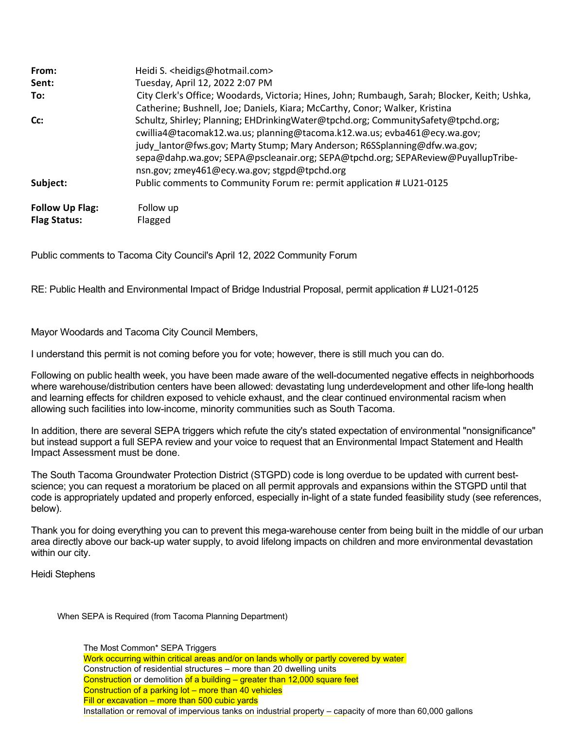| From:                  | Heidi S. <heidigs@hotmail.com></heidigs@hotmail.com>                                                                                                                                                                                                                                                                                                                           |
|------------------------|--------------------------------------------------------------------------------------------------------------------------------------------------------------------------------------------------------------------------------------------------------------------------------------------------------------------------------------------------------------------------------|
| Sent:                  | Tuesday, April 12, 2022 2:07 PM                                                                                                                                                                                                                                                                                                                                                |
| To:                    | City Clerk's Office; Woodards, Victoria; Hines, John; Rumbaugh, Sarah; Blocker, Keith; Ushka,<br>Catherine; Bushnell, Joe; Daniels, Kiara; McCarthy, Conor; Walker, Kristina                                                                                                                                                                                                   |
| Cc:                    | Schultz, Shirley; Planning; EHDrinkingWater@tpchd.org; CommunitySafety@tpchd.org;<br>cwillia4@tacomak12.wa.us; planning@tacoma.k12.wa.us; evba461@ecy.wa.gov;<br>judy_lantor@fws.gov; Marty Stump; Mary Anderson; R6SSplanning@dfw.wa.gov;<br>sepa@dahp.wa.gov; SEPA@pscleanair.org; SEPA@tpchd.org; SEPAReview@PuyallupTribe-<br>nsn.gov; zmey461@ecy.wa.gov; stgpd@tpchd.org |
| Subject:               | Public comments to Community Forum re: permit application # LU21-0125                                                                                                                                                                                                                                                                                                          |
| <b>Follow Up Flag:</b> | Follow up                                                                                                                                                                                                                                                                                                                                                                      |
| <b>Flag Status:</b>    | Flagged                                                                                                                                                                                                                                                                                                                                                                        |

Public comments to Tacoma City Council's April 12, 2022 Community Forum

RE: Public Health and Environmental Impact of Bridge Industrial Proposal, permit application # LU21-0125

Mayor Woodards and Tacoma City Council Members,

I understand this permit is not coming before you for vote; however, there is still much you can do.

Following on public health week, you have been made aware of the well-documented negative effects in neighborhoods where warehouse/distribution centers have been allowed: devastating lung underdevelopment and other life-long health and learning effects for children exposed to vehicle exhaust, and the clear continued environmental racism when allowing such facilities into low-income, minority communities such as South Tacoma.

In addition, there are several SEPA triggers which refute the city's stated expectation of environmental "nonsignificance" but instead support a full SEPA review and your voice to request that an Environmental Impact Statement and Health Impact Assessment must be done.

The South Tacoma Groundwater Protection District (STGPD) code is long overdue to be updated with current bestscience; you can request a moratorium be placed on all permit approvals and expansions within the STGPD until that code is appropriately updated and properly enforced, especially in-light of a state funded feasibility study (see references, below).

Thank you for doing everything you can to prevent this mega-warehouse center from being built in the middle of our urban area directly above our back-up water supply, to avoid lifelong impacts on children and more environmental devastation within our city.

Heidi Stephens

When SEPA is Required (from Tacoma Planning Department)

The Most Common\* SEPA Triggers Work occurring within critical areas and/or on lands wholly or partly covered by water Construction of residential structures – more than 20 dwelling units Construction or demolition of a building  $-$  greater than 12,000 square feet Construction of a parking lot – more than 40 vehicles Fill or excavation – more than 500 cubic yards Installation or removal of impervious tanks on industrial property – capacity of more than 60,000 gallons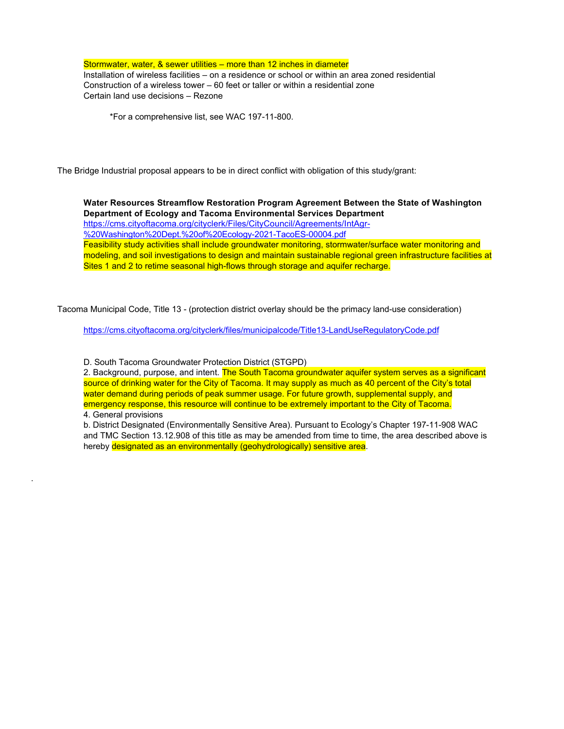Stormwater, water, & sewer utilities – more than 12 inches in diameter Installation of wireless facilities – on a residence or school or within an area zoned residential Construction of a wireless tower – 60 feet or taller or within a residential zone Certain land use decisions – Rezone

\*For a comprehensive list, see WAC 197-11-800.

The Bridge Industrial proposal appears to be in direct conflict with obligation of this study/grant:

**Water Resources Streamflow Restoration Program Agreement Between the State of Washington Department of Ecology and Tacoma Environmental Services Department** [https://cms.cityoftacoma.org/cityclerk/Files/CityCouncil/Agreements/IntAgr-](https://urldefense.com/v3/__https:/nam12.safelinks.protection.outlook.com/?url=https*3A*2F*2Fcms.cityoftacoma.org*2Fcityclerk*2FFiles*2FCityCouncil*2FAgreements*2FIntAgr-*2520Washington*2520Dept.*2520of*2520Ecology-2021-TacoES-00004.pdf&data=04*7C01*7C*7C3bb11447bbce420e23e108da1c9cf01c*7C84df9e7fe9f640afb435aaaaaaaaaaaa*7C1*7C0*7C637853757610318219*7CUnknown*7CTWFpbGZsb3d8eyJWIjoiMC4wLjAwMDAiLCJQIjoiV2luMzIiLCJBTiI6Ik1haWwiLCJXVCI6Mn0*3D*7C3000&sdata=RcuOMlMXpR8nd*2BnlUqS*2FLiYYtDX7R8R4d4CwM8qJnz8*3D&reserved=0__;JSUlJSUlJSUlJSUlJSUlJSUlJSUlJSUlJSU!!CRCbkf1f!UCRw7gnZ48NQeZxqu_DefQAIJong_xOKNOfB-fi1yZB3hiRQj03SZEqLOAdf5DVTFx0psjDVuQYkDXmtDkbAuk4$) %20Washington%20Dept.%20of%20Ecology-2021-TacoES-00004.pdf

Feasibility study activities shall include groundwater monitoring, stormwater/surface water monitoring and modeling, and soil investigations to design and maintain sustainable regional green infrastructure facilities at Sites 1 and 2 to retime seasonal high-flows through storage and aguifer recharge.

Tacoma Municipal Code, Title 13 - (protection district overlay should be the primacy land-use consideration)

<https://cms.cityoftacoma.org/cityclerk/files/municipalcode/Title13-LandUseRegulatoryCode.pdf>

D. South Tacoma Groundwater Protection District (STGPD)

2. Background, purpose, and intent. The South Tacoma groundwater aquifer system serves as a significant source of drinking water for the City of Tacoma. It may supply as much as 40 percent of the City's total water demand during periods of peak summer usage. For future growth, supplemental supply, and emergency response, this resource will continue to be extremely important to the City of Tacoma.

4. General provisions

.

b. District Designated (Environmentally Sensitive Area). Pursuant to Ecology's Chapter 197-11-908 WAC and TMC Section 13.12.908 of this title as may be amended from time to time, the area described above is hereby designated as an environmentally (geohydrologically) sensitive area.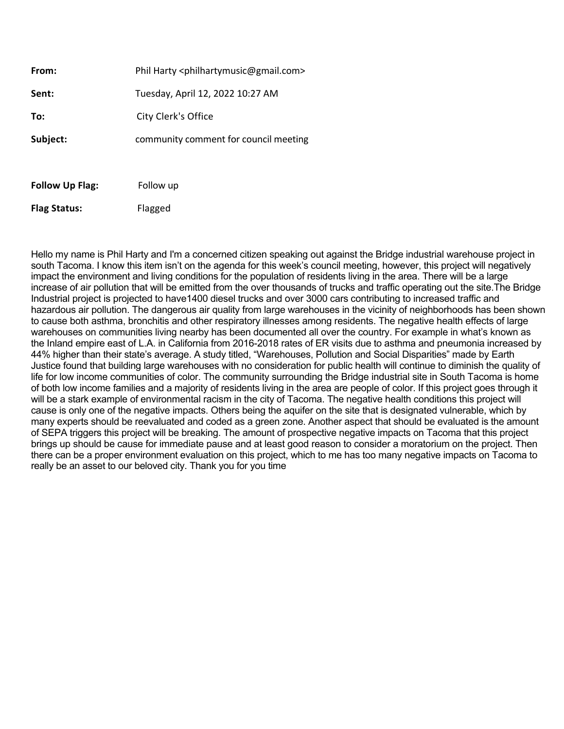| <b>Follow Up Flag:</b> | Follow up                                                        |  |
|------------------------|------------------------------------------------------------------|--|
| Subject:               | community comment for council meeting                            |  |
| To:                    | City Clerk's Office                                              |  |
| Sent:                  | Tuesday, April 12, 2022 10:27 AM                                 |  |
| From:                  | Phil Harty <philhartymusic@gmail.com></philhartymusic@gmail.com> |  |

**Flag Status:** Flagged

Hello my name is Phil Harty and I'm a concerned citizen speaking out against the Bridge industrial warehouse project in south Tacoma. I know this item isn't on the agenda for this week's council meeting, however, this project will negatively impact the environment and living conditions for the population of residents living in the area. There will be a large increase of air pollution that will be emitted from the over thousands of trucks and traffic operating out the site.The Bridge Industrial project is projected to have1400 diesel trucks and over 3000 cars contributing to increased traffic and hazardous air pollution. The dangerous air quality from large warehouses in the vicinity of neighborhoods has been shown to cause both asthma, bronchitis and other respiratory illnesses among residents. The negative health effects of large warehouses on communities living nearby has been documented all over the country. For example in what's known as the Inland empire east of L.A. in California from 2016-2018 rates of ER visits due to asthma and pneumonia increased by 44% higher than their state's average. A study titled, "Warehouses, Pollution and Social Disparities" made by Earth Justice found that building large warehouses with no consideration for public health will continue to diminish the quality of life for low income communities of color. The community surrounding the Bridge industrial site in South Tacoma is home of both low income families and a majority of residents living in the area are people of color. If this project goes through it will be a stark example of environmental racism in the city of Tacoma. The negative health conditions this project will cause is only one of the negative impacts. Others being the aquifer on the site that is designated vulnerable, which by many experts should be reevaluated and coded as a green zone. Another aspect that should be evaluated is the amount of SEPA triggers this project will be breaking. The amount of prospective negative impacts on Tacoma that this project brings up should be cause for immediate pause and at least good reason to consider a moratorium on the project. Then there can be a proper environment evaluation on this project, which to me has too many negative impacts on Tacoma to really be an asset to our beloved city. Thank you for you time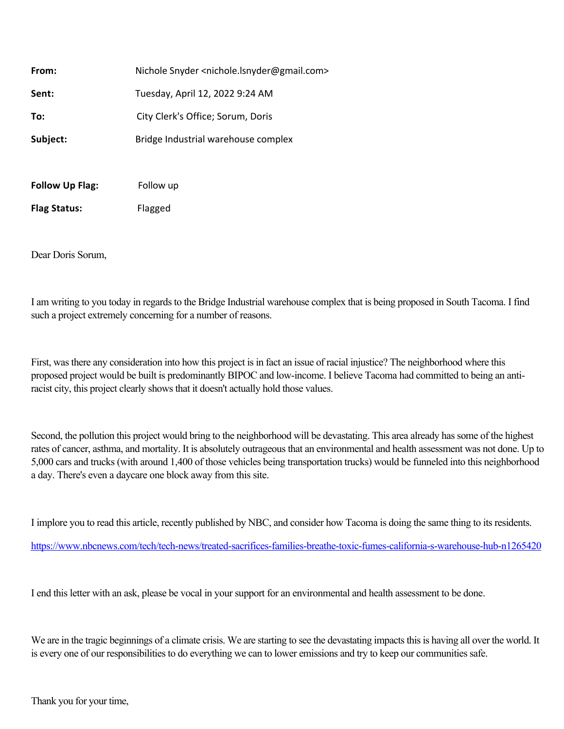| <b>Follow Up Flag:</b> | Follow up                                                              |  |
|------------------------|------------------------------------------------------------------------|--|
| Subject:               | Bridge Industrial warehouse complex                                    |  |
| To:                    | City Clerk's Office; Sorum, Doris                                      |  |
| Sent:                  | Tuesday, April 12, 2022 9:24 AM                                        |  |
| From:                  | Nichole Snyder <nichole.lsnyder@gmail.com></nichole.lsnyder@gmail.com> |  |

**Flag Status:** Flagged

Dear Doris Sorum,

I am writing to you today in regards to the Bridge Industrial warehouse complex that is being proposed in South Tacoma. I find such a project extremely concerning for a number of reasons.

First, was there any consideration into how this project is in fact an issue of racial injustice? The neighborhood where this proposed project would be built is predominantly BIPOC and low-income. I believe Tacoma had committed to being an antiracist city, this project clearly shows that it doesn't actually hold those values.

Second, the pollution this project would bring to the neighborhood will be devastating. This area already has some of the highest rates of cancer, asthma, and mortality. It is absolutely outrageous that an environmental and health assessment was not done. Up to 5,000 cars and trucks (with around 1,400 of those vehicles being transportation trucks) would be funneled into this neighborhood a day. There's even a daycare one block away from this site.

I implore you to read this article, recently published by NBC, and consider how Tacoma is doing the same thing to its residents.

[https://www.nbcnews.com/tech/tech-news/treated-sacrifices-families-breathe-toxic-fumes-california-s-warehouse-hub-n1265420](https://urldefense.com/v3/__https:/www.nbcnews.com/tech/tech-news/treated-sacrifices-families-breathe-toxic-fumes-california-s-warehouse-hub-n1265420__;!!CRCbkf1f!QDrGcv0FNNtqDeGlHFg1bZ_lk_kE-ZDvOTkEMm6jCpjMEakGQSx4YU1fiw0Fj7JUhWkoExlELEJ_pQrPRTmIZ2LqLzPwfCX1$)

I end this letter with an ask, please be vocal in your support for an environmental and health assessment to be done.

We are in the tragic beginnings of a climate crisis. We are starting to see the devastating impacts this is having all over the world. It is every one of our responsibilities to do everything we can to lower emissions and try to keep our communities safe.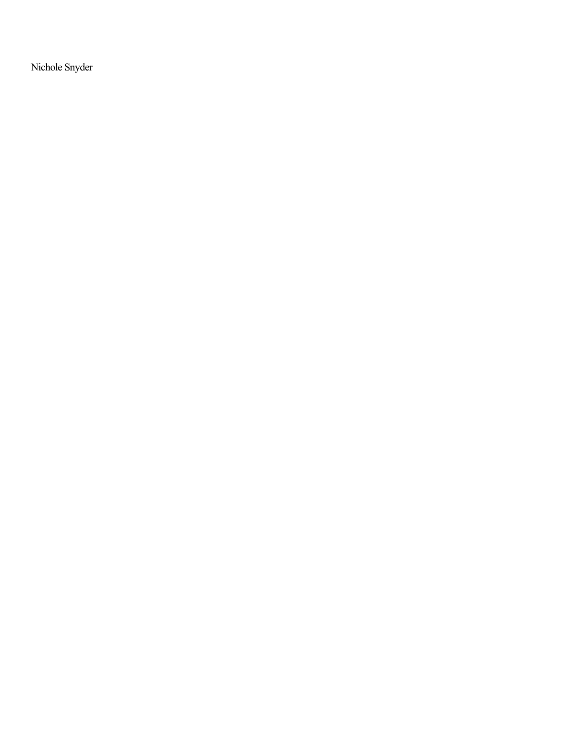Nichole Snyder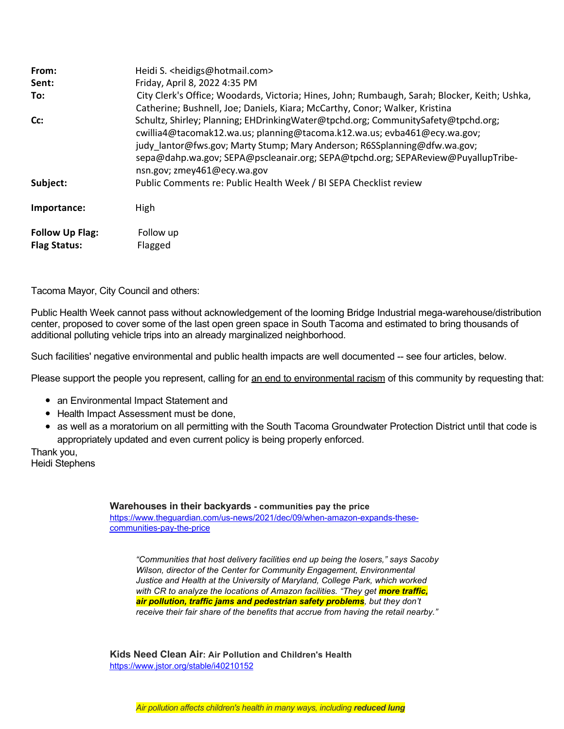| From:                  | Heidi S. <heidigs@hotmail.com></heidigs@hotmail.com>                                                                                                                                                                                                                                                                                                          |
|------------------------|---------------------------------------------------------------------------------------------------------------------------------------------------------------------------------------------------------------------------------------------------------------------------------------------------------------------------------------------------------------|
| Sent:                  | Friday, April 8, 2022 4:35 PM                                                                                                                                                                                                                                                                                                                                 |
| To:                    | City Clerk's Office; Woodards, Victoria; Hines, John; Rumbaugh, Sarah; Blocker, Keith; Ushka,<br>Catherine; Bushnell, Joe; Daniels, Kiara; McCarthy, Conor; Walker, Kristina                                                                                                                                                                                  |
| Cc:                    | Schultz, Shirley; Planning; EHDrinkingWater@tpchd.org; CommunitySafety@tpchd.org;<br>cwillia4@tacomak12.wa.us; planning@tacoma.k12.wa.us; evba461@ecy.wa.gov;<br>judy lantor@fws.gov; Marty Stump; Mary Anderson; R6SSplanning@dfw.wa.gov;<br>sepa@dahp.wa.gov; SEPA@pscleanair.org; SEPA@tpchd.org; SEPAReview@PuyallupTribe-<br>nsn.gov; zmey461@ecy.wa.gov |
| Subject:               | Public Comments re: Public Health Week / BI SEPA Checklist review                                                                                                                                                                                                                                                                                             |
| Importance:            | <b>High</b>                                                                                                                                                                                                                                                                                                                                                   |
| <b>Follow Up Flag:</b> | Follow up                                                                                                                                                                                                                                                                                                                                                     |
| <b>Flag Status:</b>    | Flagged                                                                                                                                                                                                                                                                                                                                                       |

Tacoma Mayor, City Council and others:

Public Health Week cannot pass without acknowledgement of the looming Bridge Industrial mega-warehouse/distribution center, proposed to cover some of the last open green space in South Tacoma and estimated to bring thousands of additional polluting vehicle trips into an already marginalized neighborhood.

Such facilities' negative environmental and public health impacts are well documented -- see four articles, below.

Please support the people you represent, calling for an end to environmental racism of this community by requesting that:

- an Environmental Impact Statement and
- Health Impact Assessment must be done,
- as well as a moratorium on all permitting with the South Tacoma Groundwater Protection District until that code is appropriately updated and even current policy is being properly enforced.

Thank you, Heidi Stephens

**Warehouses in their backyards - communities pay the price**

[https://www.theguardian.com/us-news/2021/dec/09/when-amazon-expands-these](https://urldefense.com/v3/__https:/nam12.safelinks.protection.outlook.com/?url=https*3A*2F*2Fwww.theguardian.com*2Fus-news*2F2021*2Fdec*2F09*2Fwhen-amazon-expands-these-communities-pay-the-price&data=04*7C01*7C*7Cc4bc9c7c66764eef54cf08da0b69ac43*7C84df9e7fe9f640afb435aaaaaaaaaaaa*7C1*7C0*7C637834845880942462*7CUnknown*7CTWFpbGZsb3d8eyJWIjoiMC4wLjAwMDAiLCJQIjoiV2luMzIiLCJBTiI6Ik1haWwiLCJXVCI6Mn0*3D*7C3000&sdata=bkqhva7pLpXT308loFlyKO97Fak1RfR2SzNQJvwT5UM*3D&reserved=0__;JSUlJSUlJSUlJSUlJSUlJSUlJSU!!CRCbkf1f!XmKHdCHgKFlHhZfFhO3IXK1RxFfoCHR1veZ40AH3WE5owle3FAsT8ODyh0hOgjXNWLccpDwRPjGAdW-veMVH2Bg$)communities-pay-the-price

*"Communities that host delivery facilities end up being the losers," says Sacoby Wilson, director of the Center for Community Engagement, Environmental Justice and Health at the University of Maryland, College Park, which worked with CR to analyze the locations of Amazon facilities. "They get more traffic, air pollution, traffic jams and pedestrian safety problems, but they don't receive their fair share of the benefits that accrue from having the retail nearby."*

**Kids Need Clean Air: Air Pollution and Children's Health** [https://www.jstor.org/stable/i40210152](https://urldefense.com/v3/__https:/www.jstor.org/stable/i40210152__;!!CRCbkf1f!XmKHdCHgKFlHhZfFhO3IXK1RxFfoCHR1veZ40AH3WE5owle3FAsT8ODyh0hOgjXNWLccpDwRPjGAdW-vJhiL8Cg$)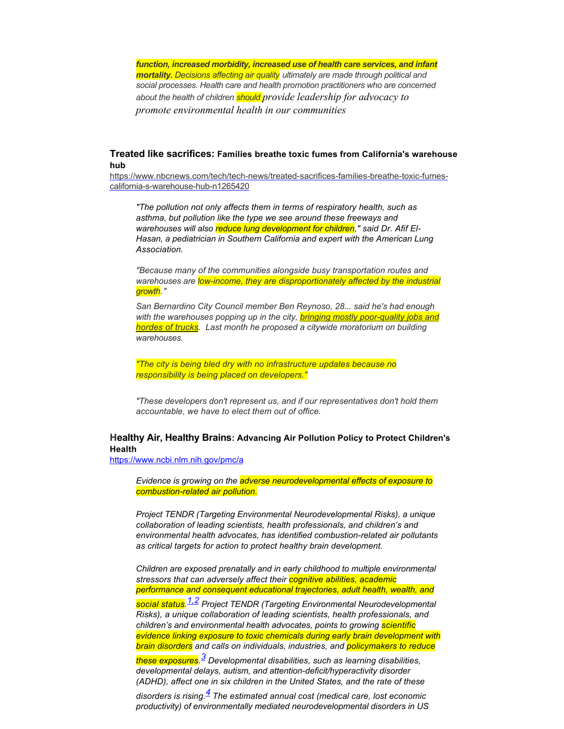*function, increased morbidity, increased use of health care services, and infant mortality. Decisions affecting air quality ultimately are made through political and social processes. Health care and health promotion practitioners who are concerned about the health of children should provide leadership for advocacy to promote environmental health in our communities*

## **Treated like sacrifices: Families breathe toxic fumes from California's warehouse hub**

[https://www.nbcnews.com/tech/tech-news/treated-sacrifices-families-breathe-toxic-fumes](https://urldefense.com/v3/__https:/nam12.safelinks.protection.outlook.com/?url=https*3A*2F*2Fwww.nbcnews.com*2Ftech*2Ftech-news*2Ftreated-sacrifices-families-breathe-toxic-fumes-california-s-warehouse-hub-n1265420&data=04*7C01*7C*7Cf36785741d5e4feeabb508da16af73b6*7C84df9e7fe9f640afb435aaaaaaaaaaaa*7C1*7C0*7C637847240071643554*7CUnknown*7CTWFpbGZsb3d8eyJWIjoiMC4wLjAwMDAiLCJQIjoiV2luMzIiLCJBTiI6Ik1haWwiLCJXVCI6Mn0*3D*7C3000&sdata=XfbkE4TzKgZ1gdDXYPbp8B*2Fa*2F4sgqeVFshXMXfc6gK0*3D&reserved=0__;JSUlJSUlJSUlJSUlJSUlJSUlJSU!!CRCbkf1f!XmKHdCHgKFlHhZfFhO3IXK1RxFfoCHR1veZ40AH3WE5owle3FAsT8ODyh0hOgjXNWLccpDwRPjGAdW-veNXPBAc$)california-s-warehouse-hub-n1265420

*"The pollution not only affects them in terms of respiratory health, such as asthma, but pollution like the type we see around these freeways and* warehouses will also reduce lung development for children," said Dr. Afif El-*Hasan, a pediatrician in Southern California and expert with the American Lung Association.*

*"Because many of the communities alongside busy transportation routes and warehouses are low-income, they are disproportionately affected by the industrial growth."*

*San Bernardino City Council member Ben Reynoso, 28... said he's had enough with the warehouses popping up in the city, bringing mostly poor-quality jobs and hordes of trucks. Last month he proposed a citywide moratorium on building warehouses.*

*"The city is being bled dry with no infrastructure updates because no responsibility is being placed on developers."*

*"These developers don't represent us, and if our representatives don't hold them accountable, we have to elect them out of office.*

## **Healthy Air, Healthy Brains: Advancing Air Pollution Policy to Protect Children's Health**

[https://www.ncbi.nlm.nih.gov/pmc/a](https://urldefense.com/v3/__https:/www.ncbi.nlm.nih.gov/pmc/a__;!!CRCbkf1f!XmKHdCHgKFlHhZfFhO3IXK1RxFfoCHR1veZ40AH3WE5owle3FAsT8ODyh0hOgjXNWLccpDwRPjGAdW-vnxE-uwQ$)

*Evidence is growing on the adverse neurodevelopmental effects of exposure to combustion-related air pollution.*

*Project TENDR (Targeting Environmental Neurodevelopmental Risks), a unique collaboration of leading scientists, health professionals, and children's and environmental health advocates, has identified combustion-related air pollutants as critical targets for action to protect healthy brain development.*

*Children are exposed prenatally and in early childhood to multiple environmental stressors that can adversely affect their cognitive abilities, academic performance and consequent educational trajectories, adult health, wealth, and*

*social status. [1,2](https://urldefense.com/v3/__https:/nam12.safelinks.protection.outlook.com/?url=https*3A*2F*2Fajph.aphapublications.org*2Fdoi*2Ffull*2F10.2105*2FAJPH.2018.304902*23&data=04*7C01*7C*7C0d4ab4dde8a84d0ef04a08da178f0991*7C84df9e7fe9f640afb435aaaaaaaaaaaa*7C1*7C0*7C637848200359665656*7CUnknown*7CTWFpbGZsb3d8eyJWIjoiMC4wLjAwMDAiLCJQIjoiV2luMzIiLCJBTiI6Ik1haWwiLCJXVCI6Mn0*3D*7C3000&sdata=Jui9Hc7EyKkBYrEPhSJW9RDV0tbyqAv7p3r27OlMuLc*3D&reserved=0__;JSUlJSUlJSUlJSUlJSUlJSUlJSU!!CRCbkf1f!XmKHdCHgKFlHhZfFhO3IXK1RxFfoCHR1veZ40AH3WE5owle3FAsT8ODyh0hOgjXNWLccpDwRPjGAdW-vfR9l9po$) Project TENDR (Targeting Environmental Neurodevelopmental Risks), a unique collaboration of leading scientists, health professionals, and children's and environmental health advocates, points to growing scientific evidence linking exposure to toxic chemicals during early brain development with brain disorders and calls on individuals, industries, and policymakers to reduce*

*these exposures. [3](https://urldefense.com/v3/__https:/nam12.safelinks.protection.outlook.com/?url=https*3A*2F*2Fajph.aphapublications.org*2Fdoi*2Ffull*2F10.2105*2FAJPH.2018.304902*23&data=04*7C01*7C*7C0d4ab4dde8a84d0ef04a08da178f0991*7C84df9e7fe9f640afb435aaaaaaaaaaaa*7C1*7C0*7C637848200359665656*7CUnknown*7CTWFpbGZsb3d8eyJWIjoiMC4wLjAwMDAiLCJQIjoiV2luMzIiLCJBTiI6Ik1haWwiLCJXVCI6Mn0*3D*7C3000&sdata=Jui9Hc7EyKkBYrEPhSJW9RDV0tbyqAv7p3r27OlMuLc*3D&reserved=0__;JSUlJSUlJSUlJSUlJSUlJSUlJSU!!CRCbkf1f!XmKHdCHgKFlHhZfFhO3IXK1RxFfoCHR1veZ40AH3WE5owle3FAsT8ODyh0hOgjXNWLccpDwRPjGAdW-vfR9l9po$) Developmental disabilities, such as learning disabilities, developmental delays, autism, and attention-deficit/hyperactivity disorder (ADHD), affect one in six children in the United States, and the rate of these*

*disorders is rising[.4](https://urldefense.com/v3/__https:/nam12.safelinks.protection.outlook.com/?url=https*3A*2F*2Fajph.aphapublications.org*2Fdoi*2Ffull*2F10.2105*2FAJPH.2018.304902*23&data=04*7C01*7C*7C0d4ab4dde8a84d0ef04a08da178f0991*7C84df9e7fe9f640afb435aaaaaaaaaaaa*7C1*7C0*7C637848200359665656*7CUnknown*7CTWFpbGZsb3d8eyJWIjoiMC4wLjAwMDAiLCJQIjoiV2luMzIiLCJBTiI6Ik1haWwiLCJXVCI6Mn0*3D*7C3000&sdata=Jui9Hc7EyKkBYrEPhSJW9RDV0tbyqAv7p3r27OlMuLc*3D&reserved=0__;JSUlJSUlJSUlJSUlJSUlJSUlJSU!!CRCbkf1f!XmKHdCHgKFlHhZfFhO3IXK1RxFfoCHR1veZ40AH3WE5owle3FAsT8ODyh0hOgjXNWLccpDwRPjGAdW-vfR9l9po$) The estimated annual cost (medical care, lost economic productivity) of environmentally mediated neurodevelopmental disorders in US*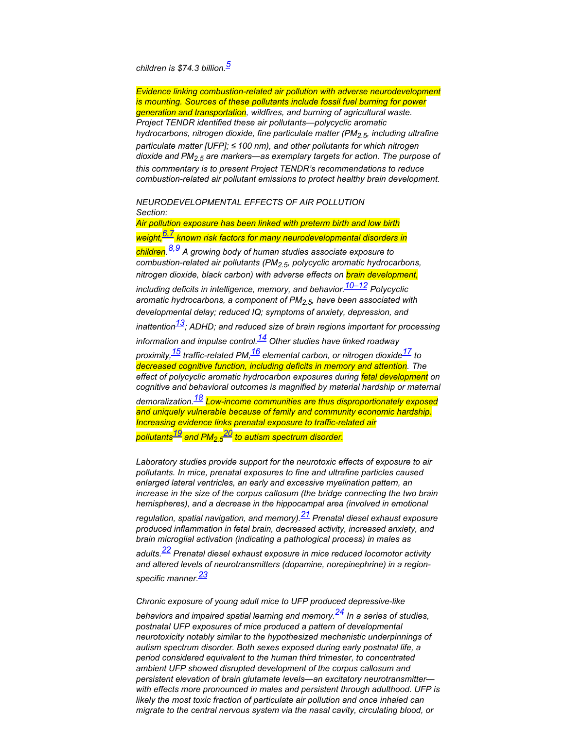# *children is \$74.3 billion.[5](https://urldefense.com/v3/__https:/nam12.safelinks.protection.outlook.com/?url=https*3A*2F*2Fajph.aphapublications.org*2Fdoi*2Ffull*2F10.2105*2FAJPH.2018.304902*23&data=04*7C01*7C*7C0d4ab4dde8a84d0ef04a08da178f0991*7C84df9e7fe9f640afb435aaaaaaaaaaaa*7C1*7C0*7C637848200359665656*7CUnknown*7CTWFpbGZsb3d8eyJWIjoiMC4wLjAwMDAiLCJQIjoiV2luMzIiLCJBTiI6Ik1haWwiLCJXVCI6Mn0*3D*7C3000&sdata=Jui9Hc7EyKkBYrEPhSJW9RDV0tbyqAv7p3r27OlMuLc*3D&reserved=0__;JSUlJSUlJSUlJSUlJSUlJSUlJSU!!CRCbkf1f!XmKHdCHgKFlHhZfFhO3IXK1RxFfoCHR1veZ40AH3WE5owle3FAsT8ODyh0hOgjXNWLccpDwRPjGAdW-vfR9l9po$)*

*Evidence linking combustion-related air pollution with adverse neurodevelopment is mounting. Sources of these pollutants include fossil fuel burning for power generation and transportation, wildfires, and burning of agricultural waste. Project TENDR identified these air pollutants—polycyclic aromatic hydrocarbons, nitrogen dioxide, fine particulate matter (PM2.5, including ultrafine particulate matter [UFP]; ≤ 100 nm), and other pollutants for which nitrogen dioxide and PM2.5 are markers—as exemplary targets for action. The purpose of this commentary is to present Project TENDR's recommendations to reduce combustion-related air pollutant emissions to protect healthy brain development.*

### *NEURODEVELOPMENTAL EFFECTS OF AIR POLLUTION Section:*

*Air pollution exposure has been linked with preterm birth and low birth weight[,6,7](https://urldefense.com/v3/__https:/nam12.safelinks.protection.outlook.com/?url=https*3A*2F*2Fajph.aphapublications.org*2Fdoi*2Ffull*2F10.2105*2FAJPH.2018.304902*23&data=04*7C01*7C*7C0d4ab4dde8a84d0ef04a08da178f0991*7C84df9e7fe9f640afb435aaaaaaaaaaaa*7C1*7C0*7C637848200359665656*7CUnknown*7CTWFpbGZsb3d8eyJWIjoiMC4wLjAwMDAiLCJQIjoiV2luMzIiLCJBTiI6Ik1haWwiLCJXVCI6Mn0*3D*7C3000&sdata=Jui9Hc7EyKkBYrEPhSJW9RDV0tbyqAv7p3r27OlMuLc*3D&reserved=0__;JSUlJSUlJSUlJSUlJSUlJSUlJSU!!CRCbkf1f!XmKHdCHgKFlHhZfFhO3IXK1RxFfoCHR1veZ40AH3WE5owle3FAsT8ODyh0hOgjXNWLccpDwRPjGAdW-vfR9l9po$) known risk factors for many neurodevelopmental disorders in children. [8,9](https://urldefense.com/v3/__https:/nam12.safelinks.protection.outlook.com/?url=https*3A*2F*2Fajph.aphapublications.org*2Fdoi*2Ffull*2F10.2105*2FAJPH.2018.304902*23&data=04*7C01*7C*7C0d4ab4dde8a84d0ef04a08da178f0991*7C84df9e7fe9f640afb435aaaaaaaaaaaa*7C1*7C0*7C637848200359665656*7CUnknown*7CTWFpbGZsb3d8eyJWIjoiMC4wLjAwMDAiLCJQIjoiV2luMzIiLCJBTiI6Ik1haWwiLCJXVCI6Mn0*3D*7C3000&sdata=Jui9Hc7EyKkBYrEPhSJW9RDV0tbyqAv7p3r27OlMuLc*3D&reserved=0__;JSUlJSUlJSUlJSUlJSUlJSUlJSU!!CRCbkf1f!XmKHdCHgKFlHhZfFhO3IXK1RxFfoCHR1veZ40AH3WE5owle3FAsT8ODyh0hOgjXNWLccpDwRPjGAdW-vfR9l9po$) A growing body of human studies associate exposure to combustion-related air pollutants (PM2.5, polycyclic aromatic hydrocarbons, nitrogen dioxide, black carbon) with adverse effects on brain development, including deficits in intelligence, memory, and behavior[.10–12](https://urldefense.com/v3/__https:/nam12.safelinks.protection.outlook.com/?url=https*3A*2F*2Fajph.aphapublications.org*2Fdoi*2Ffull*2F10.2105*2FAJPH.2018.304902*23&data=04*7C01*7C*7C0d4ab4dde8a84d0ef04a08da178f0991*7C84df9e7fe9f640afb435aaaaaaaaaaaa*7C1*7C0*7C637848200359665656*7CUnknown*7CTWFpbGZsb3d8eyJWIjoiMC4wLjAwMDAiLCJQIjoiV2luMzIiLCJBTiI6Ik1haWwiLCJXVCI6Mn0*3D*7C3000&sdata=Jui9Hc7EyKkBYrEPhSJW9RDV0tbyqAv7p3r27OlMuLc*3D&reserved=0__;JSUlJSUlJSUlJSUlJSUlJSUlJSU!!CRCbkf1f!XmKHdCHgKFlHhZfFhO3IXK1RxFfoCHR1veZ40AH3WE5owle3FAsT8ODyh0hOgjXNWLccpDwRPjGAdW-vfR9l9po$) Polycyclic aromatic hydrocarbons, a component of PM2.5, have been associated with developmental delay; reduced IQ; symptoms of anxiety, depression, and inattentio[n13](https://urldefense.com/v3/__https:/nam12.safelinks.protection.outlook.com/?url=https*3A*2F*2Fajph.aphapublications.org*2Fdoi*2Ffull*2F10.2105*2FAJPH.2018.304902*23&data=04*7C01*7C*7C0d4ab4dde8a84d0ef04a08da178f0991*7C84df9e7fe9f640afb435aaaaaaaaaaaa*7C1*7C0*7C637848200359665656*7CUnknown*7CTWFpbGZsb3d8eyJWIjoiMC4wLjAwMDAiLCJQIjoiV2luMzIiLCJBTiI6Ik1haWwiLCJXVCI6Mn0*3D*7C3000&sdata=Jui9Hc7EyKkBYrEPhSJW9RDV0tbyqAv7p3r27OlMuLc*3D&reserved=0__;JSUlJSUlJSUlJSUlJSUlJSUlJSU!!CRCbkf1f!XmKHdCHgKFlHhZfFhO3IXK1RxFfoCHR1veZ40AH3WE5owle3FAsT8ODyh0hOgjXNWLccpDwRPjGAdW-vfR9l9po$); ADHD; and reduced size of brain regions important for processing information and impulse control.[14](https://urldefense.com/v3/__https:/nam12.safelinks.protection.outlook.com/?url=https*3A*2F*2Fajph.aphapublications.org*2Fdoi*2Ffull*2F10.2105*2FAJPH.2018.304902*23&data=04*7C01*7C*7C0d4ab4dde8a84d0ef04a08da178f0991*7C84df9e7fe9f640afb435aaaaaaaaaaaa*7C1*7C0*7C637848200359665656*7CUnknown*7CTWFpbGZsb3d8eyJWIjoiMC4wLjAwMDAiLCJQIjoiV2luMzIiLCJBTiI6Ik1haWwiLCJXVCI6Mn0*3D*7C3000&sdata=Jui9Hc7EyKkBYrEPhSJW9RDV0tbyqAv7p3r27OlMuLc*3D&reserved=0__;JSUlJSUlJSUlJSUlJSUlJSUlJSU!!CRCbkf1f!XmKHdCHgKFlHhZfFhO3IXK1RxFfoCHR1veZ40AH3WE5owle3FAsT8ODyh0hOgjXNWLccpDwRPjGAdW-vfR9l9po$) Other studies have linked roadway proximity[,15](https://urldefense.com/v3/__https:/nam12.safelinks.protection.outlook.com/?url=https*3A*2F*2Fajph.aphapublications.org*2Fdoi*2Ffull*2F10.2105*2FAJPH.2018.304902*23&data=04*7C01*7C*7C0d4ab4dde8a84d0ef04a08da178f0991*7C84df9e7fe9f640afb435aaaaaaaaaaaa*7C1*7C0*7C637848200359665656*7CUnknown*7CTWFpbGZsb3d8eyJWIjoiMC4wLjAwMDAiLCJQIjoiV2luMzIiLCJBTiI6Ik1haWwiLCJXVCI6Mn0*3D*7C3000&sdata=Jui9Hc7EyKkBYrEPhSJW9RDV0tbyqAv7p3r27OlMuLc*3D&reserved=0__;JSUlJSUlJSUlJSUlJSUlJSUlJSU!!CRCbkf1f!XmKHdCHgKFlHhZfFhO3IXK1RxFfoCHR1veZ40AH3WE5owle3FAsT8ODyh0hOgjXNWLccpDwRPjGAdW-vfR9l9po$) traffic-related PM[,16](https://urldefense.com/v3/__https:/nam12.safelinks.protection.outlook.com/?url=https*3A*2F*2Fajph.aphapublications.org*2Fdoi*2Ffull*2F10.2105*2FAJPH.2018.304902*23&data=04*7C01*7C*7C0d4ab4dde8a84d0ef04a08da178f0991*7C84df9e7fe9f640afb435aaaaaaaaaaaa*7C1*7C0*7C637848200359665656*7CUnknown*7CTWFpbGZsb3d8eyJWIjoiMC4wLjAwMDAiLCJQIjoiV2luMzIiLCJBTiI6Ik1haWwiLCJXVCI6Mn0*3D*7C3000&sdata=Jui9Hc7EyKkBYrEPhSJW9RDV0tbyqAv7p3r27OlMuLc*3D&reserved=0__;JSUlJSUlJSUlJSUlJSUlJSUlJSU!!CRCbkf1f!XmKHdCHgKFlHhZfFhO3IXK1RxFfoCHR1veZ40AH3WE5owle3FAsT8ODyh0hOgjXNWLccpDwRPjGAdW-vfR9l9po$) elemental carbon, or nitrogen dioxide[17](https://urldefense.com/v3/__https:/nam12.safelinks.protection.outlook.com/?url=https*3A*2F*2Fajph.aphapublications.org*2Fdoi*2Ffull*2F10.2105*2FAJPH.2018.304902*23&data=04*7C01*7C*7C0d4ab4dde8a84d0ef04a08da178f0991*7C84df9e7fe9f640afb435aaaaaaaaaaaa*7C1*7C0*7C637848200359665656*7CUnknown*7CTWFpbGZsb3d8eyJWIjoiMC4wLjAwMDAiLCJQIjoiV2luMzIiLCJBTiI6Ik1haWwiLCJXVCI6Mn0*3D*7C3000&sdata=Jui9Hc7EyKkBYrEPhSJW9RDV0tbyqAv7p3r27OlMuLc*3D&reserved=0__;JSUlJSUlJSUlJSUlJSUlJSUlJSU!!CRCbkf1f!XmKHdCHgKFlHhZfFhO3IXK1RxFfoCHR1veZ40AH3WE5owle3FAsT8ODyh0hOgjXNWLccpDwRPjGAdW-vfR9l9po$) to decreased cognitive function, including deficits in memory and attention. The effect of polycyclic aromatic hydrocarbon exposures during fetal development on cognitive and behavioral outcomes is magnified by material hardship or maternal demoralization[.18](https://urldefense.com/v3/__https:/nam12.safelinks.protection.outlook.com/?url=https*3A*2F*2Fajph.aphapublications.org*2Fdoi*2Ffull*2F10.2105*2FAJPH.2018.304902*23&data=04*7C01*7C*7C0d4ab4dde8a84d0ef04a08da178f0991*7C84df9e7fe9f640afb435aaaaaaaaaaaa*7C1*7C0*7C637848200359665656*7CUnknown*7CTWFpbGZsb3d8eyJWIjoiMC4wLjAwMDAiLCJQIjoiV2luMzIiLCJBTiI6Ik1haWwiLCJXVCI6Mn0*3D*7C3000&sdata=Jui9Hc7EyKkBYrEPhSJW9RDV0tbyqAv7p3r27OlMuLc*3D&reserved=0__;JSUlJSUlJSUlJSUlJSUlJSUlJSU!!CRCbkf1f!XmKHdCHgKFlHhZfFhO3IXK1RxFfoCHR1veZ40AH3WE5owle3FAsT8ODyh0hOgjXNWLccpDwRPjGAdW-vfR9l9po$) Low-income communities are thus disproportionately exposed and uniquely vulnerable because of family and community economic hardship. Increasing evidence links prenatal exposure to traffic-related air pollutants[19](https://urldefense.com/v3/__https:/nam12.safelinks.protection.outlook.com/?url=https*3A*2F*2Fajph.aphapublications.org*2Fdoi*2Ffull*2F10.2105*2FAJPH.2018.304902*23&data=04*7C01*7C*7C0d4ab4dde8a84d0ef04a08da178f0991*7C84df9e7fe9f640afb435aaaaaaaaaaaa*7C1*7C0*7C637848200359665656*7CUnknown*7CTWFpbGZsb3d8eyJWIjoiMC4wLjAwMDAiLCJQIjoiV2luMzIiLCJBTiI6Ik1haWwiLCJXVCI6Mn0*3D*7C3000&sdata=Jui9Hc7EyKkBYrEPhSJW9RDV0tbyqAv7p3r27OlMuLc*3D&reserved=0__;JSUlJSUlJSUlJSUlJSUlJSUlJSU!!CRCbkf1f!XmKHdCHgKFlHhZfFhO3IXK1RxFfoCHR1veZ40AH3WE5owle3FAsT8ODyh0hOgjXNWLccpDwRPjGAdW-vfR9l9po$) and PM2.5 [20](https://urldefense.com/v3/__https:/nam12.safelinks.protection.outlook.com/?url=https*3A*2F*2Fajph.aphapublications.org*2Fdoi*2Ffull*2F10.2105*2FAJPH.2018.304902*23&data=04*7C01*7C*7C0d4ab4dde8a84d0ef04a08da178f0991*7C84df9e7fe9f640afb435aaaaaaaaaaaa*7C1*7C0*7C637848200359821879*7CUnknown*7CTWFpbGZsb3d8eyJWIjoiMC4wLjAwMDAiLCJQIjoiV2luMzIiLCJBTiI6Ik1haWwiLCJXVCI6Mn0*3D*7C3000&sdata=vyv0Jy*2BtD*2F8sCy8a*2Fk8K8lrMqkYq0LgmEgDR*2Bf06U1U*3D&reserved=0__;JSUlJSUlJSUlJSUlJSUlJSUlJSUlJSUl!!CRCbkf1f!XmKHdCHgKFlHhZfFhO3IXK1RxFfoCHR1veZ40AH3WE5owle3FAsT8ODyh0hOgjXNWLccpDwRPjGAdW-vy6v5dFI$) to autism spectrum disorder.*

*Laboratory studies provide support for the neurotoxic effects of exposure to air pollutants. In mice, prenatal exposures to fine and ultrafine particles caused enlarged lateral ventricles, an early and excessive myelination pattern, an increase in the size of the corpus callosum (the bridge connecting the two brain hemispheres), and a decrease in the hippocampal area (involved in emotional*

*regulation, spatial navigation, and memory).[21](https://urldefense.com/v3/__https:/nam12.safelinks.protection.outlook.com/?url=https*3A*2F*2Fajph.aphapublications.org*2Fdoi*2Ffull*2F10.2105*2FAJPH.2018.304902*23&data=04*7C01*7C*7C0d4ab4dde8a84d0ef04a08da178f0991*7C84df9e7fe9f640afb435aaaaaaaaaaaa*7C1*7C0*7C637848200359821879*7CUnknown*7CTWFpbGZsb3d8eyJWIjoiMC4wLjAwMDAiLCJQIjoiV2luMzIiLCJBTiI6Ik1haWwiLCJXVCI6Mn0*3D*7C3000&sdata=vyv0Jy*2BtD*2F8sCy8a*2Fk8K8lrMqkYq0LgmEgDR*2Bf06U1U*3D&reserved=0__;JSUlJSUlJSUlJSUlJSUlJSUlJSUlJSUl!!CRCbkf1f!XmKHdCHgKFlHhZfFhO3IXK1RxFfoCHR1veZ40AH3WE5owle3FAsT8ODyh0hOgjXNWLccpDwRPjGAdW-vy6v5dFI$) Prenatal diesel exhaust exposure produced inflammation in fetal brain, decreased activity, increased anxiety, and brain microglial activation (indicating a pathological process) in males as*

*adults[.22](https://urldefense.com/v3/__https:/nam12.safelinks.protection.outlook.com/?url=https*3A*2F*2Fajph.aphapublications.org*2Fdoi*2Ffull*2F10.2105*2FAJPH.2018.304902*23&data=04*7C01*7C*7C0d4ab4dde8a84d0ef04a08da178f0991*7C84df9e7fe9f640afb435aaaaaaaaaaaa*7C1*7C0*7C637848200359821879*7CUnknown*7CTWFpbGZsb3d8eyJWIjoiMC4wLjAwMDAiLCJQIjoiV2luMzIiLCJBTiI6Ik1haWwiLCJXVCI6Mn0*3D*7C3000&sdata=vyv0Jy*2BtD*2F8sCy8a*2Fk8K8lrMqkYq0LgmEgDR*2Bf06U1U*3D&reserved=0__;JSUlJSUlJSUlJSUlJSUlJSUlJSUlJSUl!!CRCbkf1f!XmKHdCHgKFlHhZfFhO3IXK1RxFfoCHR1veZ40AH3WE5owle3FAsT8ODyh0hOgjXNWLccpDwRPjGAdW-vy6v5dFI$) Prenatal diesel exhaust exposure in mice reduced locomotor activity and altered levels of neurotransmitters (dopamine, norepinephrine) in a regionspecific manner[.23](https://urldefense.com/v3/__https:/nam12.safelinks.protection.outlook.com/?url=https*3A*2F*2Fajph.aphapublications.org*2Fdoi*2Ffull*2F10.2105*2FAJPH.2018.304902*23&data=04*7C01*7C*7C0d4ab4dde8a84d0ef04a08da178f0991*7C84df9e7fe9f640afb435aaaaaaaaaaaa*7C1*7C0*7C637848200359821879*7CUnknown*7CTWFpbGZsb3d8eyJWIjoiMC4wLjAwMDAiLCJQIjoiV2luMzIiLCJBTiI6Ik1haWwiLCJXVCI6Mn0*3D*7C3000&sdata=vyv0Jy*2BtD*2F8sCy8a*2Fk8K8lrMqkYq0LgmEgDR*2Bf06U1U*3D&reserved=0__;JSUlJSUlJSUlJSUlJSUlJSUlJSUlJSUl!!CRCbkf1f!XmKHdCHgKFlHhZfFhO3IXK1RxFfoCHR1veZ40AH3WE5owle3FAsT8ODyh0hOgjXNWLccpDwRPjGAdW-vy6v5dFI$)*

*Chronic exposure of young adult mice to UFP produced depressive-like behaviors and impaired spatial learning and memory.[24](https://urldefense.com/v3/__https:/nam12.safelinks.protection.outlook.com/?url=https*3A*2F*2Fajph.aphapublications.org*2Fdoi*2Ffull*2F10.2105*2FAJPH.2018.304902*23&data=04*7C01*7C*7C0d4ab4dde8a84d0ef04a08da178f0991*7C84df9e7fe9f640afb435aaaaaaaaaaaa*7C1*7C0*7C637848200359821879*7CUnknown*7CTWFpbGZsb3d8eyJWIjoiMC4wLjAwMDAiLCJQIjoiV2luMzIiLCJBTiI6Ik1haWwiLCJXVCI6Mn0*3D*7C3000&sdata=vyv0Jy*2BtD*2F8sCy8a*2Fk8K8lrMqkYq0LgmEgDR*2Bf06U1U*3D&reserved=0__;JSUlJSUlJSUlJSUlJSUlJSUlJSUlJSUl!!CRCbkf1f!XmKHdCHgKFlHhZfFhO3IXK1RxFfoCHR1veZ40AH3WE5owle3FAsT8ODyh0hOgjXNWLccpDwRPjGAdW-vy6v5dFI$) In a series of studies, postnatal UFP exposures of mice produced a pattern of developmental neurotoxicity notably similar to the hypothesized mechanistic underpinnings of autism spectrum disorder. Both sexes exposed during early postnatal life, a period considered equivalent to the human third trimester, to concentrated ambient UFP showed disrupted development of the corpus callosum and persistent elevation of brain glutamate levels—an excitatory neurotransmitter with effects more pronounced in males and persistent through adulthood. UFP is likely the most toxic fraction of particulate air pollution and once inhaled can migrate to the central nervous system via the nasal cavity, circulating blood, or*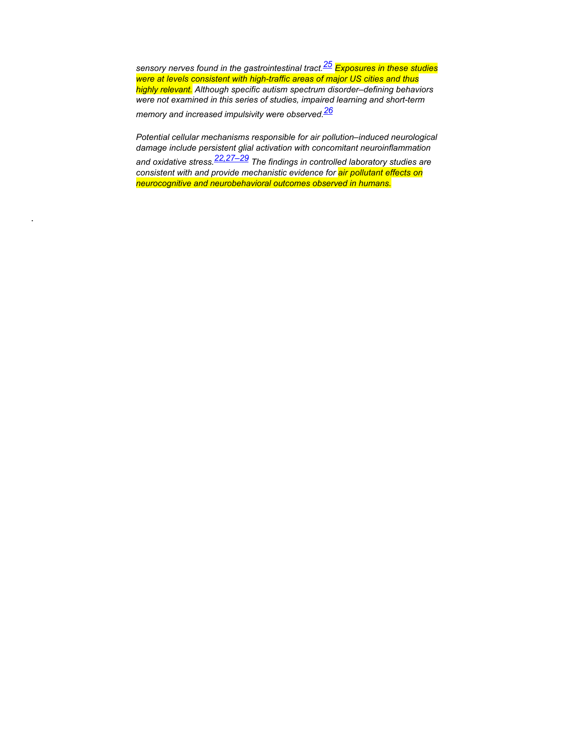*sensory nerves found in the gastrointestinal tract.[25](https://urldefense.com/v3/__https:/nam12.safelinks.protection.outlook.com/?url=https*3A*2F*2Fajph.aphapublications.org*2Fdoi*2Ffull*2F10.2105*2FAJPH.2018.304902*23&data=04*7C01*7C*7C0d4ab4dde8a84d0ef04a08da178f0991*7C84df9e7fe9f640afb435aaaaaaaaaaaa*7C1*7C0*7C637848200359821879*7CUnknown*7CTWFpbGZsb3d8eyJWIjoiMC4wLjAwMDAiLCJQIjoiV2luMzIiLCJBTiI6Ik1haWwiLCJXVCI6Mn0*3D*7C3000&sdata=vyv0Jy*2BtD*2F8sCy8a*2Fk8K8lrMqkYq0LgmEgDR*2Bf06U1U*3D&reserved=0__;JSUlJSUlJSUlJSUlJSUlJSUlJSUlJSUl!!CRCbkf1f!XmKHdCHgKFlHhZfFhO3IXK1RxFfoCHR1veZ40AH3WE5owle3FAsT8ODyh0hOgjXNWLccpDwRPjGAdW-vy6v5dFI$) Exposures in these studies were at levels consistent with high-traffic areas of major US cities and thus highly relevant. Although specific autism spectrum disorder–defining behaviors were not examined in this series of studies, impaired learning and short-term memory and increased impulsivity were observed[.26](https://urldefense.com/v3/__https:/nam12.safelinks.protection.outlook.com/?url=https*3A*2F*2Fajph.aphapublications.org*2Fdoi*2Ffull*2F10.2105*2FAJPH.2018.304902*23&data=04*7C01*7C*7C0d4ab4dde8a84d0ef04a08da178f0991*7C84df9e7fe9f640afb435aaaaaaaaaaaa*7C1*7C0*7C637848200359821879*7CUnknown*7CTWFpbGZsb3d8eyJWIjoiMC4wLjAwMDAiLCJQIjoiV2luMzIiLCJBTiI6Ik1haWwiLCJXVCI6Mn0*3D*7C3000&sdata=vyv0Jy*2BtD*2F8sCy8a*2Fk8K8lrMqkYq0LgmEgDR*2Bf06U1U*3D&reserved=0__;JSUlJSUlJSUlJSUlJSUlJSUlJSUlJSUl!!CRCbkf1f!XmKHdCHgKFlHhZfFhO3IXK1RxFfoCHR1veZ40AH3WE5owle3FAsT8ODyh0hOgjXNWLccpDwRPjGAdW-vy6v5dFI$)*

*Potential cellular mechanisms responsible for air pollution–induced neurological damage include persistent glial activation with concomitant neuroinflammation and oxidative stress[.22,27–29](https://urldefense.com/v3/__https:/nam12.safelinks.protection.outlook.com/?url=https*3A*2F*2Fajph.aphapublications.org*2Fdoi*2Ffull*2F10.2105*2FAJPH.2018.304902*23&data=04*7C01*7C*7C0d4ab4dde8a84d0ef04a08da178f0991*7C84df9e7fe9f640afb435aaaaaaaaaaaa*7C1*7C0*7C637848200359821879*7CUnknown*7CTWFpbGZsb3d8eyJWIjoiMC4wLjAwMDAiLCJQIjoiV2luMzIiLCJBTiI6Ik1haWwiLCJXVCI6Mn0*3D*7C3000&sdata=vyv0Jy*2BtD*2F8sCy8a*2Fk8K8lrMqkYq0LgmEgDR*2Bf06U1U*3D&reserved=0__;JSUlJSUlJSUlJSUlJSUlJSUlJSUlJSUl!!CRCbkf1f!XmKHdCHgKFlHhZfFhO3IXK1RxFfoCHR1veZ40AH3WE5owle3FAsT8ODyh0hOgjXNWLccpDwRPjGAdW-vy6v5dFI$) The findings in controlled laboratory studies are consistent with and provide mechanistic evidence for air pollutant effects on neurocognitive and neurobehavioral outcomes observed in humans.*

.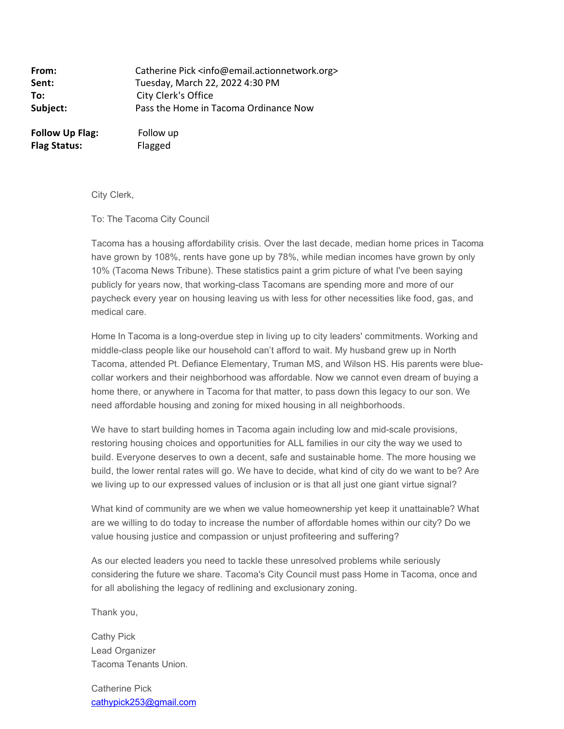**From:** Catherine Pick <info@email.actionnetwork.org> **Sent:** Tuesday, March 22, 2022 4:30 PM **To:** City Clerk's Office **Subject:** Pass the Home in Tacoma Ordinance Now

**Follow Up Flag:** Follow up **Flag Status:** Flagged

City Clerk,

To: The Tacoma City Council

Tacoma has a housing affordability crisis. Over the last decade, median home prices in Tacoma have grown by 108%, rents have gone up by 78%, while median incomes have grown by only 10% (Tacoma News Tribune). These statistics paint a grim picture of what I've been saying publicly for years now, that working-class Tacomans are spending more and more of our paycheck every year on housing leaving us with less for other necessities like food, gas, and medical care.

Home In Tacoma is a long-overdue step in living up to city leaders' commitments. Working and middle-class people like our household can't afford to wait. My husband grew up in North Tacoma, attended Pt. Defiance Elementary, Truman MS, and Wilson HS. His parents were bluecollar workers and their neighborhood was affordable. Now we cannot even dream of buying a home there, or anywhere in Tacoma for that matter, to pass down this legacy to our son. We need affordable housing and zoning for mixed housing in all neighborhoods.

We have to start building homes in Tacoma again including low and mid-scale provisions, restoring housing choices and opportunities for ALL families in our city the way we used to build. Everyone deserves to own a decent, safe and sustainable home. The more housing we build, the lower rental rates will go. We have to decide, what kind of city do we want to be? Are we living up to our expressed values of inclusion or is that all just one giant virtue signal?

What kind of community are we when we value homeownership yet keep it unattainable? What are we willing to do today to increase the number of affordable homes within our city? Do we value housing justice and compassion or unjust profiteering and suffering?

As our elected leaders you need to tackle these unresolved problems while seriously considering the future we share. Tacoma's City Council must pass Home in Tacoma, once and for all abolishing the legacy of redlining and exclusionary zoning.

Thank you,

Cathy Pick Lead Organizer Tacoma Tenants Union.

Catherine Pick [cathypick253@gmail.com](mailto:cathypick253@gmail.com)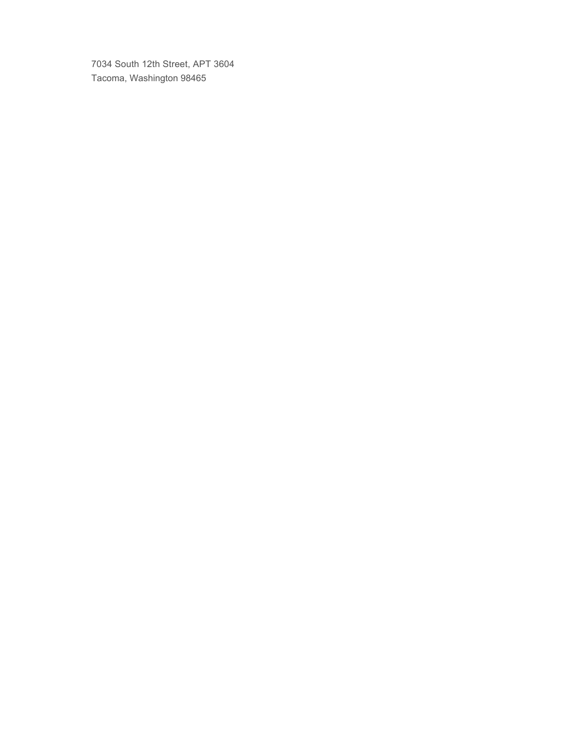7034 South 12th Street, APT 3604 Tacoma, Washington 98465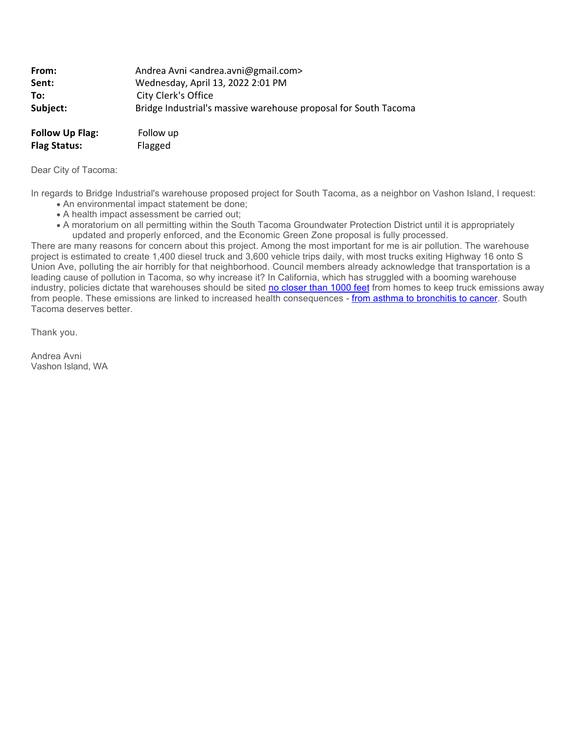| From:    | Andrea Avni <andrea.avni@gmail.com></andrea.avni@gmail.com>     |
|----------|-----------------------------------------------------------------|
| Sent:    | Wednesday, April 13, 2022 2:01 PM                               |
| To:      | City Clerk's Office                                             |
| Subject: | Bridge Industrial's massive warehouse proposal for South Tacoma |
|          |                                                                 |

| <b>Follow Up Flag:</b> | Follow up |
|------------------------|-----------|
| <b>Flag Status:</b>    | Flagged   |

Dear City of Tacoma:

In regards to Bridge Industrial's warehouse proposed project for South Tacoma, as a neighbor on Vashon Island, I request:

- · An environmental impact statement be done;
- · A health impact assessment be carried out;
- · A moratorium on all permitting within the South Tacoma Groundwater Protection District until it is appropriately updated and properly enforced, and the Economic Green Zone proposal is fully processed.

There are many reasons for concern about this project. Among the most important for me is air pollution. The warehouse project is estimated to create 1,400 diesel truck and 3,600 vehicle trips daily, with most trucks exiting Highway 16 onto S Union Ave, polluting the air horribly for that neighborhood. Council members already acknowledge that transportation is a leading cause of pollution in Tacoma, so why increase it? In California, which has struggled with a booming warehouse industry, policies dictate that warehouses should be sited [no closer than 1000 feet](https://urldefense.com/v3/__https:/u1584542.ct.sendgrid.net/ss/c/CMxF4nARlf6wAFa1PSfv0t6Ke6oybIu7rip7-lZ0cixMZ83eCCS8S4IGlYseNTm5o7zIgWXYi7gar5ScdWMxDHDnxDW2njYOp4J1WOqmLMxiWsrOINZ-iQvNhQXVyUcD7q532skk9_aprPZ59t1THsIvPr3c8hyFyj6LoqEwJZ2Luew4c8UVvim6i4hLkRuasH2BOQ5Xsu30aOgY2Xm2m0bxER_NbI84MTSjqjj55nLmH9gUoQ1UQLZtMl2JiszMDf1ZcdiwJKxFHau61xxAGRKWsXIAoxe03dqetZIudcIBnHujZ67tqHSXJrgR6ajdPckq84lFv3qFWM3B2ZJuU6Mhs1lFREnIwG4C214NOyI/3l5/-BOJyd8DQQysyVc0sglP-Q/h6/ATVKbDbDcH4hnFFNgyxHsDeG64Fc4LEadrDSu84RI4Q__;!!CRCbkf1f!TiC6niLNPsl_xgcYKvzksEHJyQr68g7hNz-sS_suBcFwsgfq6MLg-x7P0SZ9f_tt8C4LgmP2boXblyjtKZvZaqay6ms$) from homes to keep truck emissions away from people. These emissions are linked to increased health consequences - [from asthma to bronchitis to cancer](https://urldefense.com/v3/__https:/u1584542.ct.sendgrid.net/ss/c/atcYNHk4Eh2YdGnwBh-YDBVjIHI81ayhYsbX9ZFjakLveNOD43rvi3nJdsWQixoMU98WVm0CbyL1vqMmr-LmhNZoeUh11-CL9Q2ziPNYP_rrMbKo-5Cg2yuXe8lfNTUDNDBFQleIdAktvYLYaV1dOJywh3JiMJYhtdgVfsYMcna_NCWL2MMFk6ThNrE1PXVNEnqSOXxAE5Yaj8JYmH5YCAVwwRKGrvkMokd5i6nXiIgfUYdAg2qiy9vZcoFh-2L9DLfGpSHdPdQD1CvNq0S8jAo-SSyMzPGMPjS53D5g_d0gViqnhzaXknG2vHJvMM9SIoGba0J5kylBoP9PgS73lxQwdx33Af7Pz8k4RyoIc-Dks4v_TFdkVidl5qcPPk6UWcbnt239J8O6cry3msxlHA/3l5/-BOJyd8DQQysyVc0sglP-Q/h7/XJ3RWdRY9uknTT5NG9NE0kL5kBs481ExvCafB075BPs__;!!CRCbkf1f!TiC6niLNPsl_xgcYKvzksEHJyQr68g7hNz-sS_suBcFwsgfq6MLg-x7P0SZ9f_tt8C4LgmP2boXblyjtKZvZiRplmmE$). South Tacoma deserves better.

Thank you.

Andrea Avni Vashon Island, WA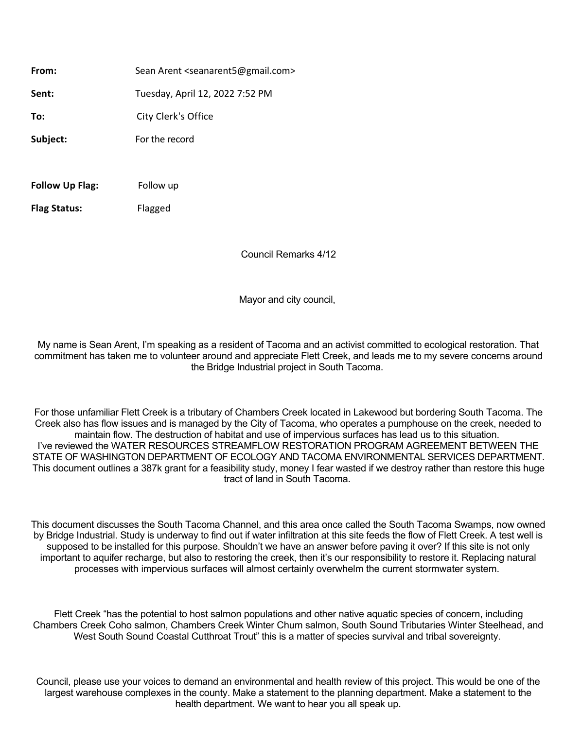From: Sean Arent <seanarent5@gmail.com> **Sent:** Tuesday, April 12, 2022 7:52 PM **To:** City Clerk's Office **Subject:** For the record

**Follow Up Flag:** Follow up

**Flag Status:** Flagged

Council Remarks 4/12

Mayor and city council,

My name is Sean Arent, I'm speaking as a resident of Tacoma and an activist committed to ecological restoration. That commitment has taken me to volunteer around and appreciate Flett Creek, and leads me to my severe concerns around the Bridge Industrial project in South Tacoma.

For those unfamiliar Flett Creek is a tributary of Chambers Creek located in Lakewood but bordering South Tacoma. The Creek also has flow issues and is managed by the City of Tacoma, who operates a pumphouse on the creek, needed to maintain flow. The destruction of habitat and use of impervious surfaces has lead us to this situation. I've reviewed the WATER RESOURCES STREAMFLOW RESTORATION PROGRAM AGREEMENT BETWEEN THE STATE OF WASHINGTON DEPARTMENT OF ECOLOGY AND TACOMA ENVIRONMENTAL SERVICES DEPARTMENT. This document outlines a 387k grant for a feasibility study, money I fear wasted if we destroy rather than restore this huge tract of land in South Tacoma.

This document discusses the South Tacoma Channel, and this area once called the South Tacoma Swamps, now owned by Bridge Industrial. Study is underway to find out if water infiltration at this site feeds the flow of Flett Creek. A test well is supposed to be installed for this purpose. Shouldn't we have an answer before paving it over? If this site is not only important to aquifer recharge, but also to restoring the creek, then it's our responsibility to restore it. Replacing natural processes with impervious surfaces will almost certainly overwhelm the current stormwater system.

Flett Creek "has the potential to host salmon populations and other native aquatic species of concern, including Chambers Creek Coho salmon, Chambers Creek Winter Chum salmon, South Sound Tributaries Winter Steelhead, and West South Sound Coastal Cutthroat Trout" this is a matter of species survival and tribal sovereignty.

Council, please use your voices to demand an environmental and health review of this project. This would be one of the largest warehouse complexes in the county. Make a statement to the planning department. Make a statement to the health department. We want to hear you all speak up.